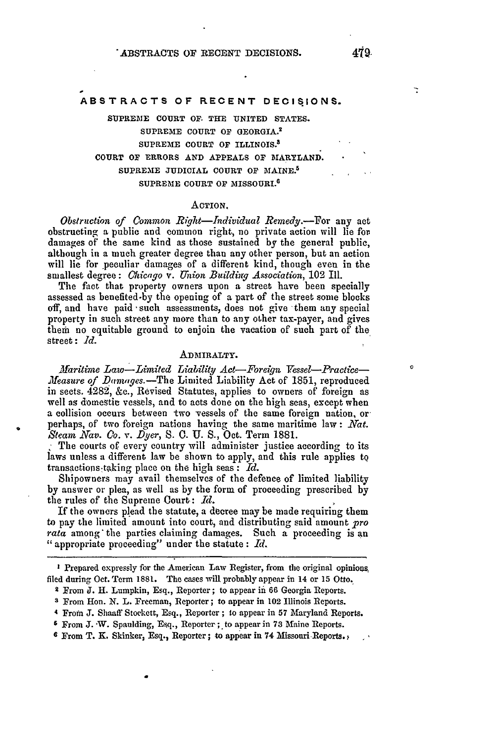# **ABSTRACTS OF RECENT DECISIONS.**

**SUPREME COURT** *OF.* THE UNITED **STATES.** SUPREME **COURT OF** GEORGIA.2 **SUPREME COURT OF** ILLINOIS.3 COURT OF ERRORS **AND APPEALS** OF MARYLAND. SUPREME JUDICIAL COURT OF MAINE.<sup>5</sup> SUPREME **COURT OF** MISSOURI.6

### ACTION.

*Obstruction of Common Right-Individual Remedy.-For* any act obstructing **a** public and common right, no private action will lie for damages of the same kind as those sustained **by** the general public, although in a much greater degree than any other person, but an action will lie for peculiar damages of a different kind, though even in the smallest degree: *Chicago v. Union Buildiry Association,* 102 Ill.

The fact that property owners upon a street have been specially assessed as benefited.by the opening of a part of the street some blocks off, and have paid such assessments, does not give them any special property in such street any more than to any other tax-payer, and gives them no equitable ground to enjoin the vacation of such part of the street **:** *Id.*

# ADMIRALTY.

*Maritime Law-Limited Liability Act-Fore qu Vessel-Practice- Measure of Damages.*-The Limited Liability Act of 1851, reproduced in sects. 4282, &c., Revised Statutes, applies to owners of foreign as well as domestic vessels, and to acts done on the high seas, except when a collision occurs between two vessels of the same foreign nation, or perhaps, of two foreign nations having the same maritime law: *Nat. Steam* Nav. *Co. v. Dyer, S.* **0. U. S.,** Oct. Term 1881.

The courts of every country will administer justice according to its laws unless a different law be shown to apply, and this rule applies to transactions ttking place on the high seas: *Id.*

Shipowners may avail themselves of the defence of limited liability by answer or plea, as well as by the form of proceeding prescribed by the rules of the Supreme Court: *Id.* 

If the owners plead the statute, a decree may be made requiring them to pay the limited amount into court, and distributing said amount *pro rata* among'the parties claiming damages. Such a proceeding is an "appropriate proceeding" under the statute : *Id.*

**I** Prepared expressly for the American Law Register, from the original opinions, filed during Oct. Term **1881.** The cases will probably appear in 14 or 15 Otto.

**4** From **J.** Shanff Stockett, Esq., Reporter ; to appear in 57 Maryland Reports.

7

 $\circ$ 

**<sup>2</sup>** From J. H. Lumpkin, Esq., Reporter; to appear in 66 Georgia Reports.

**<sup>3</sup>** From Hon. N. L. Freeman, Reporter; to appear in 102 Illinois Reports.

<sup>&</sup>lt;sup>6</sup> From **J. W.** Spaulding, Esq., Reporter ; to appear in 73 Maine Reports.

**<sup>6</sup>** From T. K. Skinker, Esq., Reporter; to appear in 74 Missouri Reports. **,**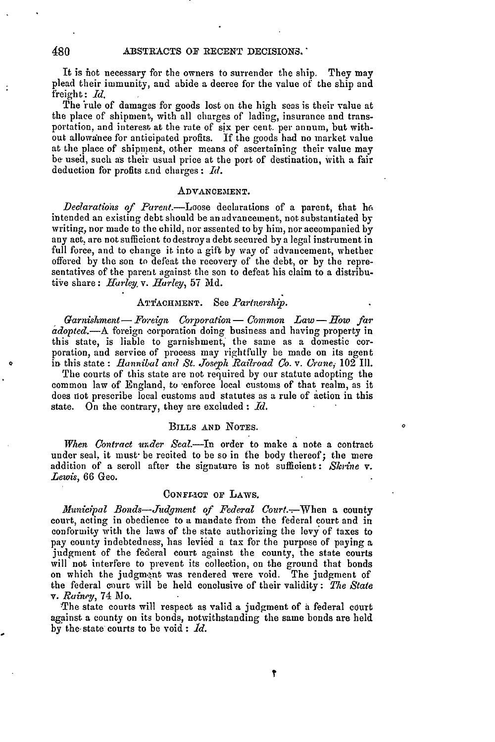It is *hot* necessary for the owners to surrender the ship. They may plead their immunity, and abide a decree for the value of the ship and freight : *Id.*

The 'rule of damages for goods lost on the high seas is their value at the place of shipment, with all charges of lading, insurance and transportation, and interest at the rate of six per cent. per annum, but without allowaince for anticipated profits. If the goods had no market value at the place of shipment, other means of ascertaining their value may be used, such as their usual price at the port of destination, with a fair deduction for profits and charges **:** *Id.*

### ADVANCEMENT.

*Declarations of* Parent.-Loose declarations of a parent, that **h.** intended an existing debt should be an advancement, not substantiated by writing, nor made to the child, nor assented to by him, nor accompanied by any act, are not sufficient to destroy a debt secured by a legal instrument in full force, and to change it into a gift by way of advancement, whether offered by the son to defeat the recovery of the debt, or by the representatives of the parent against the son to defeat his claim to a distributiie share: *Harley. v. Harley,* **57 Md.**

# ATTACHMENT. See *Partnership*.

*Garnishment- Foreign Corporation - Common Law - How far adopted.-A* foreign corporation doing business and having property in this state, is liable to garnishment,' the same as a domestic corporation, and service of process may rightfully be made on its agent in this state : *Hannibal and St. Joseph Railroad Co.v. Crane*, 102 Ill.

The courts of this state are not required by our statute adopting the common law of England, to -enforce local customs of that realm, as it does not prescribe local customs and statutes as a rule of action in this state. On the contrary, they are excluded : *Id.*

### BILLS **AND** NOTES.

*When Contract under Seal.-In* order to make a note **a** contract under seal, it must- be recited to be so in the body thereof; the mere addition of a scroll after the signature is not sufficient : *Shrine v. Lewis,* 66 Geo.

# CONFIRCT OF LAWS.

*Municipal Bonds-dudgment of Federal* Court.--When a county court, acting in obedience to a mandate from the federal court and in conformity with the laws of the state authorizing the levy of taxes to pay county indebtedness, has levied a tax for the purpose of paying a judgment of the federal court against the county, the state courts will not interfere to prevent its collection, on the ground that bonds on which the judgment was rendered were void. The judgment of the federal ci)urt will be held conclusive of their validity: *The State v. Rainep,* 74 Mo.

'The state courts will respect as valid a judgment of a federal court against a county on its bonds, notwithstanding the same bonds are held by the-state courts to be void: *.d.*

480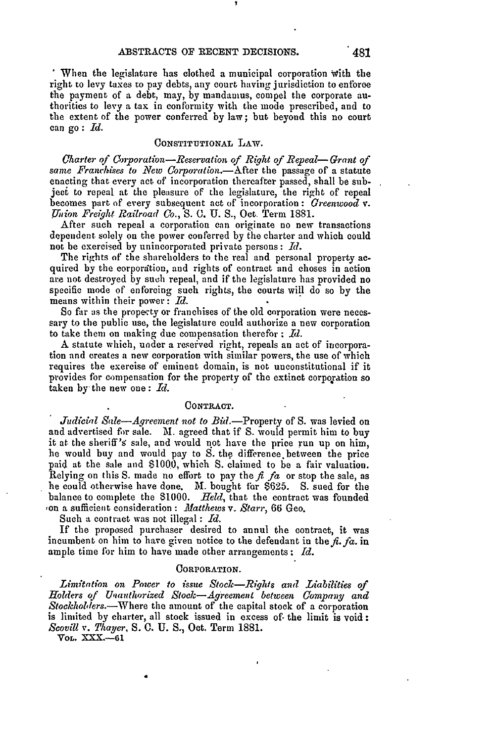When the legislature has clothed a municipal corporation with the right to levy taxes to pay debts, any court having jurisdiction to enforce the payment of a debt, may, by mandamus, compel the corporate authorities to levy a tax in conformity with the mode prescribed, and to the extent of the power conferred by law; but beyond this no court can go : *Id.*

### **CONSTITUTIONAL** LAW.

*Charter* **of** *Unporation-Reservation of Right of Repeal-Grant of same Franchdses to New Corporation.-After* the passage of a statute enacting that every act of incorporation thereafter passed, shall be subject to repeal at the pleasure of the legislature, the right of repeal becomes part of every subsequent act of incorporation : *Greenwood v. Thion Freight Railroad Co., S.* **C. U. S.,** Oct. Term 1881.

After such repeal a corporation can originate no new transactions dependent solely on the power conferred by the charter and which could not be exercised by unincorporated private persons : *Id.*

The rights of the shareholders to the real and personal property acquired by the corpordition, and rights of contract and choses in action are not destroyed by such repeal, and if the legislature has provided no specific mode of enforcing such rights, the courts will do so by the means within their power: *Id.*

So far **as** the prope-ty or franchises of the old corporation were necessary to the public use, the legislature could authorize a new corporation to take them on making due compensation therefor : *Id.*

A statute which, under a reserved right, repeals an act of incorporation and creates a new corporation with similar powers, the use of which requires the exercise of eminent domain, is not unconstitutional if it provides for compensation for the property of the extinct corporation so taken by the new one: *Id.*

#### CONTRACT.

*Judicial Sale--Agreement not to Bid.*--Property of S. was levied on and advertised for sale. M. agreed that if S. would permit him to buy it at the sheriff's sale, and would not have the price run up on him, he would buy and would pay to S. the difference.between the price paid at the sale and \$1000, which S. claimed to be a fair valuation. Relying on this S. made no effort to pay the  $f_i$   $fa$  or stop the sale, as he could otherwise have done. M. bought for \$625. S. sued for the balance to complete the **\$1000.** *Held,* that the contract was founded ton a sufficient consideration **:** *Matthews v. Starr,* 66 Geo.

Such a contract was not illegal : *Id.*

If the proposed purchaser desired to annul the contract, it was incumbent on him to have given notice to the defendant in the  $f_i$ .  $fa$ . in ample time for him to have made other arrangements : Id.

#### OORPORATION.

Limitation *on Power* to *issue Stock-Rights and Liabilities of Holders of Unauthorized Stock-Agreement between Company and Stockholders.-Where* the amount of the capital stock of a corporation is limited by charter, all stock issued in excess of the limit is void: *Scovill v. Thayer,* **S. C. U. S.,** Oct. Term 1881.

VOL. XXX.-61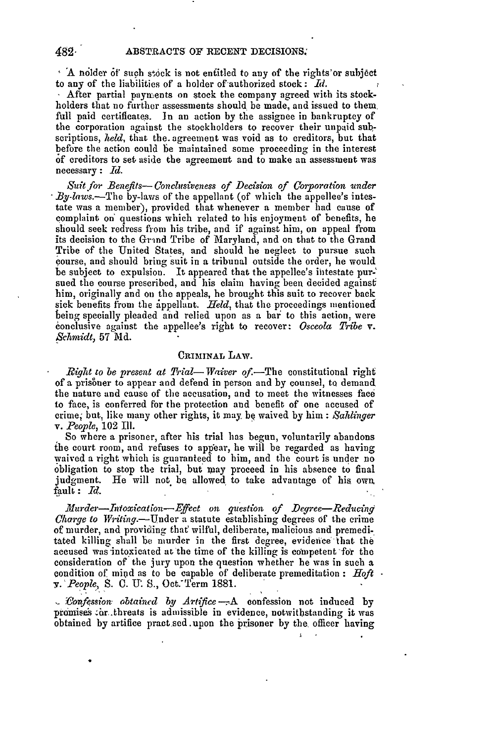<sup>6</sup> A nolder of such stock is not entitled to any of the rights'or subject to any of the liabilities of a holder of'authorized stock: *Id.*

After partial payments on stock the company agreed with its stockholders that no further assessments should be made, and issued to them, full paid certificates. In an action by the assignee in bankruptcy of the corporation against the stockholders to recover their unpaid subseriptions, *held,* that the. agreement was void as to creditors, but that before the action could be maintained some proceeding in the interest of creditors to set aside the agreemeut and to make an assessment was necessary : *lId.*

**Suit for Benefits-- Conclusiveness of Decision of Corporation under** *.By-laws.-The* by-laws of the appellant (of which the appellee's intestate was a member), provided that whenever a member had cause of complaint on' questions which related to his enjoyment of benefits, he should seek redress fiom his tribe, and if against him, on appeal from its decision to the Grind Tribe of Maryland, and on that to the Grand Tribe of the United States, and should he neglect to pursue such course, and should bring suit in a tribunal outside the order, he would be subject to expulsion. It appeared that the appellee's intestate pursued the course prescribed, and his claim having been decided against him, originally and on the appeals, he brought this suit to recover back sick benefits from the appellant. *Held*, that the proceedings mentioned being specially pleaded and relied upon as a bar to this action, were 6onclusive against the appellee's right to recover: *Osceola Tribe* v. *Schmidt,* 57 **Md.**

### **CRIMINAL** LAW.

*Right to be present at Trial—Waiver of.*—The constitutional right of a prisoner to appear and defend in person and by counsel, to demand the nature and cause of the accusation, and to meet the witnesses face to face, is conferred for the protection and benefit of one accused of crime but, like many other rights, it may be waived **by** him : *Sahlinger v. People,* 102 Ill.

So where a prisoner, after his trial has begun, voluntarily abandons **ihe** court room, and refuses to appear, he will be regarded as having waived a right which is guaranteed to him, and the court is under no obligation to stop the trial, but may proceed in his absence to final judgment. He will not **be** allowed to take advantage of his, own fault: *Id.*

*Murder-Intoxication-Effect on question of Degree-Reducing Charge to Writing.*—Under a statute establishing degrees of the crime of murder, and providing that wilful, deliberate, malicious and premeditated killing shall **be** murder in the first degree, evidence that the accused was intoxicated at the time of the killing is competent for the consideration of the jury upon the question whether he was in such a condition of mid as to be capable of deliberate premeditation : *Hoft .' People, S.* **C. U. S.,** Oct.-Term **1881.**

*-Vonf4ssion. obtained by Artlfice.-,A* confession not induced by promises ar threats is admissible in evidence, notwithstanding it was obtained by artifice pract sed.upon the prisoner by the, officer having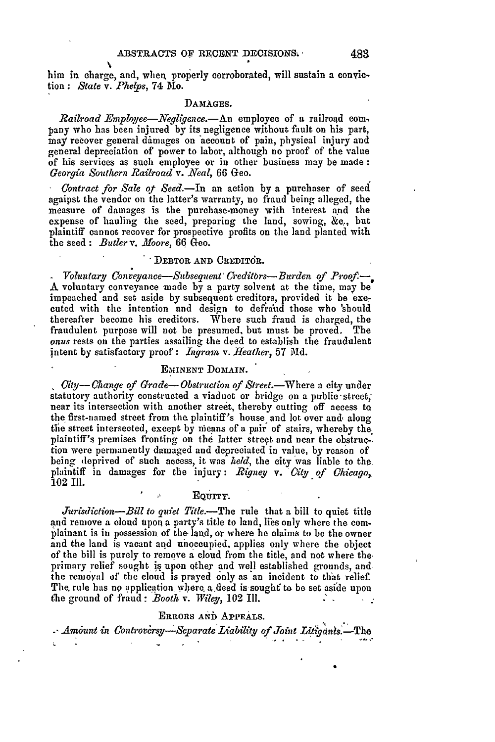him in charge, and, when, properly corroborated, will sustain a conviction: *State* v. *Phecps,* 74 Mo.

#### **DAMAGES.**

*Railroad Employee-Negligene.-An* employee of a railroad com, pany who has been injured by its negligence without fault on his part, may recover general dimages on account of pain, physical injury and general depreciation of power to labor, although no proof of the value of his services as such employee or in other business may be made *Georgia Southern Railroad v. Neal,* 66 Geo.

*Contract for Sale of Seed.-In* an action by a purchaser of seed agaipst the vendor on the latter's warranty, no fraud being alleged, the measure of damages is the purchase-money with interest and the expense of hauling the seed, preparing the land, sowing, **&c.,** but plaintiff cannot recover for prospective profits on the land planted with the seed : *Butler v. Moore*, 66 Geo.

# **DEBTOR AND CREDITOR.**

*Voluntary Conveyance-Subsequent' Creditbrs- Burden of P.roof.-* **A** voluntary conveyance made by a party solvent at the time. may be impeached and set aside **by** subsequent creditors, provided it be executed with the intention and design to defraud those who 'should thereafter become his creditors. Where such fraud is charged, the fraudulent purpose will not be presumed, but must be proved. The *onus* rests on the parties assailing the deed to establish the fraudulent intent by satisfactory proof: *Ingram v. Heather*, 57 Md.

### EMINENT DOMAIN.

*City--Change of Grade--Obstruction of Street.*--Where a city under statutory authority constructed a viaduct or bridge on a public-street, near its intersection with another street, thereby cutting off access ta the first-named street from the plaintiff's house and lot over and, along the street intersected, except by means of a pair of stairs, whereby the plaintiff's premises fronting on the latter streqt and near the obstruction were permanently damaged and depreciated in value, by reason of being deprived of stich access, it was *held,* the city was liable **to** the plaintiff in damages for the injury: *Rigney v. Gity of Chicago,* 102 11.

# **EQUITY.**

*Jurisdiction-Bill to quiet Title.-The* rule that a bill to quiet title and remove a cloud upon a party's title to land, lies only where the complainant is in possession of the land, or where he claims to be the owner and the land is vacant and unoccupied, applies only where the object of the bill is purely to remove a cloud from the title, and not where the. primary relief sought is upon other and well established grounds, and the removal of' the cloud is prayed only as 'an incident to that relief. The rule has no application where a deed is sought to be set aside upon t'he ground of fraud **:** *.Booth v. Wiley,* 102 Ill.

# **ERRORS AND APPEALS.**

Amount in Controversy-Separate Liability of Joint Litigants.—The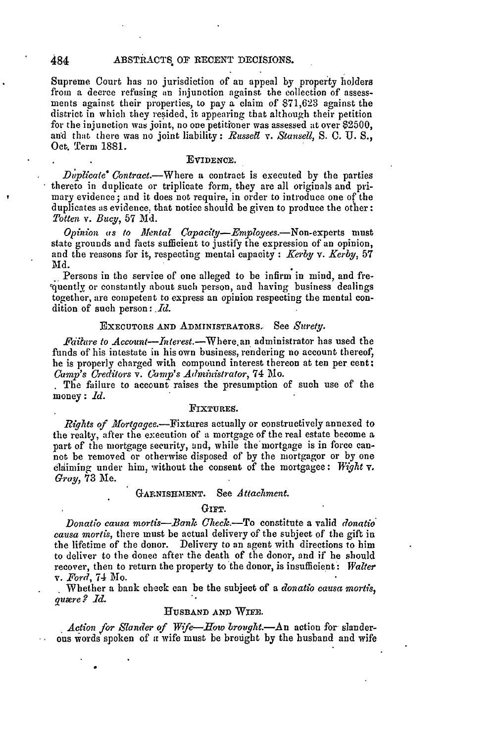Supreme Court has no jurisdiction of an appeal by property holders from a decree refusing an injunction against the collection of assessments against their properties, to pay a claim of 871,623 against the district in which they resided, it appearing that although their petition for the injunction was joint, no one petitioner was assessed at over \$2500, and that there was no joint liability **:** *Russell v. Stansell, S.* **0.** U. *S.,* Oct. Tern 1881.

#### EVIDENCE.

*Duplicate* Contract.--Where a contract is executed by the parties thereto in duplicate or triplicate form. they are all originals and primary evidence; and it does not require, in order to introduce one of the duplicates as evidence, that notice should be given to produce the other: *Totten v. Bucy*, 57 Md.

*Opinion as to Mental CaPacity-Employees.-Non-experts* must state grounds and facts sufficient to justify the expression of an opinion, and the reasons fbr it, respecting mental capacity: *.Kerby v. Kerby,* 57 **Md.**

Persons in the service of one alleged to be infirm in mind, and fre-%uently or constantly about such person, and having business dealings together, are competent to express an opinion respecting the mental condition of such person: *Id.*

### EXECUTORS AND ADMINISTRATORS. See *Surety.*

*Fdilure to Account-Interest.-Where.an* administrator has used the funds of his intestate in his own business, rendering no account thereof, he is properly charged with compound interest thereon at ten per cent. *Camp's Creditors v. 6Omp's Administrator,* 74 Mo.

The failure to account raises the presumption of such use of the money: *1d.* 

### **FIXTURES.**

*Rights of Mortgagee.-Fixtures* actually or constructively annexed to the realty, after the execution of a mortgage of the real estate become a part of the mortgage security, and, while the mortgage is in force cannot be removed or otherwise disposed of by the mortgagor or by one claiming under him, without the consent of the mortgagee: *Wight* v. *Gray,* 73 Me.

#### **GARNISHMENT.** See *Attachment.*

### GIFT.

*Donatio causa mortis-Bank Check.*-To constitute a valid *donatio causa mortis,* there must **be** actual delivery of the subject of the gift in the lifetime of the donor. Delivery to an agent with directions to him to deliver to the donee after the death of the donor, and if he should recover, then to return the property to the donor, is insufficient-: *Walter v. Ford,* 74 Mo.

Whether a bank check can be the subject of a *donatio causa mortis,* quære ? *Id.* 

#### **HUSBAND AND** WIFE.

Action for Slander of Wife-How brought.-An action for slanderous words spoken of a wife must be brought by the husband and wife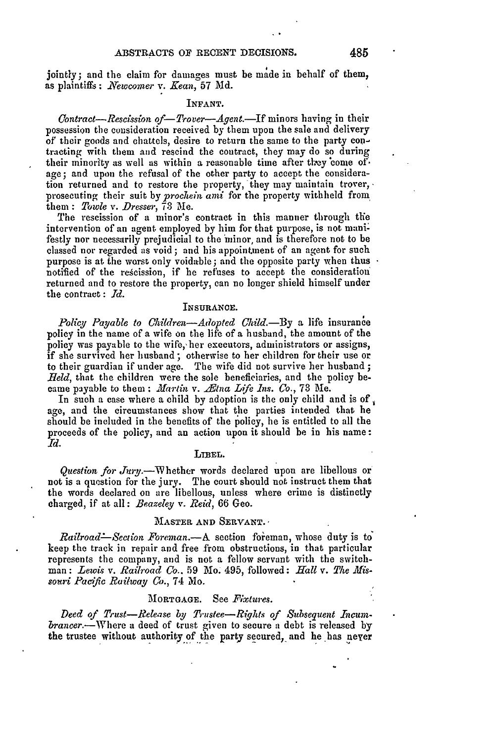jointly; and the claim for damages must be made in behalf of them, as plaintiffs: *Newcomer v. Kean*, 57 Md.

#### **INFANT.**

*Contract-Rescission of-Trover-Agent.-If* minors having in their possession the consideration received by them upon the sale and delivery of their goods and chattels, desire to return the same to the party contracting with them and rescind the contract, they may do so during their minority as well as within a reasonable time after they come of. age; and upon the refusal of the other party to accept the consideration returned and to restore the property, they may maintain trover, prosecuting their suit by *prochein ani* for the property withheld from, them : *Towle v. Dresser,* 73 Me.

The rescission of a minor's contract in this manner through the intervention of an agent employed by him for that purpose, is not manifestly nor necessarily prejudicial to the minor, and is therefore not to be classed nor regarded as void; and his appointment of an agent for such purpose is at the worst only voidable; and the opposite party when thus . notified of the rescission, if he refuses to accept the consideration returned and to restore the property, can no longer shield himself under the contract: *Id.*

#### **INSURANCE.**

*Policy Payable to Children-Adopted Chld.-By* a life insurance policy in the name of a wife on the life of a husband, the amount of the policy was payable to the wife, her executors, administrators or assigns, if she survived her husband ; otherwise to her children for their use or to their guardian if under age. The wife did not survive her husband; *Held*, that the children were the sole beneficiaries, and the policy became payable to them: *Martin v. Etna Life Ins. Co.*, 73 Me.

In such a case where a child **by** adoption is the only child and is of age, and the circumstances show that the parties intended that he should be included in the benefits of the policy, he is entitled to all the proceeds of the policy, and an action upon it should be in his name: *Id.*

#### LIBEL.

*Question for* Jury.-Whether words declared upon are libellous or not is a question for the jury. The court should not instruct them that the words declared on are libellous, unless where crime is distinctly charged, if at all: *Beazeley v. Reid,* 66 Geo.

### MASTER **AND SERVANT.**

*Railroad*—*Section Foreman.*—A section foreman, whose duty is to keep the track in repair and free from obstructions, in that particular represents the company, and is not a fellow servant with the switchman: *Lewis v. Railroad Co..* 59 Mo. 495, followed: *Hall v. The Missouri Pacific Railway Co.,* 74 Mo.

# 'MORTGAGE. See *Fixtures.*

*Deed of Trust-Release by Trustee-Rights of Subsequent Incum.* brancer.—Where a deed of trust given to secure a debt is released by the trustee without authority of the party secured, and he has never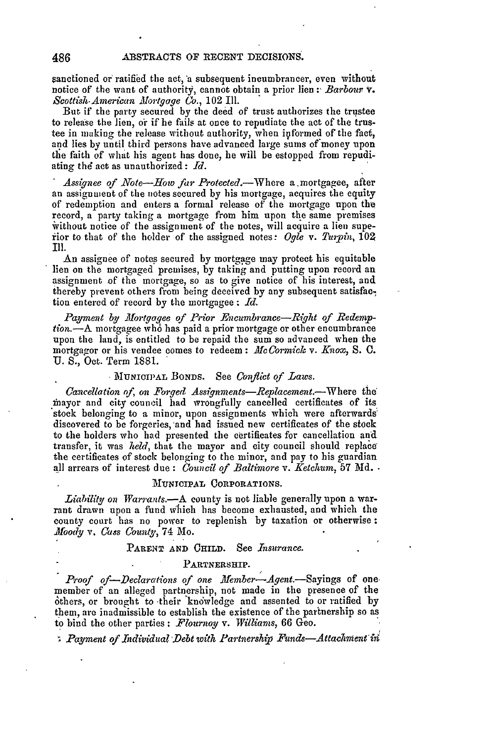anctioned or ratified the act, a subsequent ineumbrancer, even without notice of the want of authority, cannot obtain a prior lien : *Barbour* **v.** *Scottish-American Mortgage Co.,* 102 Ill.

But. if the party secured by the deed of trust authorizes the trustee to release the lien, or if he fails at once to repudiate the act of the trustee in making the release without authority, when iyformed of the *fact,* and lies by until third persons have advanced large sums of'money upon the faith of what his agent has done, he will be estopped from repudiating *thd* act as unauthorized: *Id.*

*Assignee of Note-How far Protected.-Where* a mortgagee, after an assignment of the notes secured by his mortgage, acquires the equity of redemption and enters a formal release of the mortgage upon the record, a party taking a mortgage from him upon the same premises without notice of the assignment of the notes, will acquire a lien superior to that of the holder of the assigned notes: Ogle v. Turpin, 102

An assignee of notes secured by mortgage may protect his equitable lien on the mortgaged premises, by taking and putting upon record an assignment of the mortgage, so as to give notice of his interest, and thereby prevent others from being deceived by any subsequent satisfac-, tion entered of record by the mortgagee : *Id.*

Payment by Mortgagee of Prior Encumbrance-Right of Redemp*tion.*—A mortgagee who has paid a prior mortgage or other encumbrance upon the land, is entitled to be repaid the sum so advanced when the mortgagor or his vendee comes to redeem: *McCormick v. Knox*, S. C. **U.** S., Oct. Term 1881.

### **MIIUNICIPAL BONDS.** See *Conflict of Laws.*

*Cancellation of, on Forged Assignments-Replacement.*-Where the mayor and city council had wrongfully cancelled certificates of its stock belonging to a minor, upon assignments which were afterwards' discovered to be forgeries, 'and had issued new certificates of the stock to the holders who had presented the certificates for cancellation and transfer, it was *held,* that the mayor and city council should replacethe certificates of stock belonging to the minor, and pay to his guardian all arrears of interest due: *Council of Baltimore v. Ketchum,* 57 **Md.**

# **IUNICIPAL** CORPORATIONS.

*Liability on Warrants.-A* county is not liable generally upon a warrant drawn upon a fund which has become exhausted, and which the county court has no power to replenish by taxation or otherwise: *Moody v. Cass County,* 74 Mo.

# PARENT **AND CHILD.** See *Insurance.*

#### **PARTNERSHIP.**

Proof of-Declarations of one Member-Agent.-Sayings of one. member of an alleged partnership, not made in the presence of the others, or brought to their knowledge and assented to or ratified by them, are inadmissible to establish the existence of the partnership so as to bind the other parties: *F.lournoy v. Williams,* 66 Geo.

*Payment of Individual Debt with Partnership Funds-Attachment in*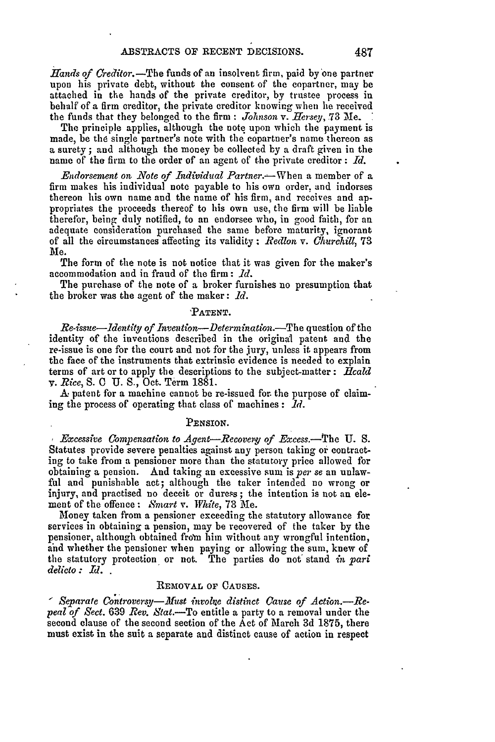*Hands of Creditor.*—The funds of an insolvent firm, paid by one partner upon his private debt, without the consent of the copartner, may be attached in the hands of the private creditor, by trustee process in behalf of a firm creditor, the private creditor knowing when he received the funds that they belonged to the firm *.Johnson v. Hersey,* 73 Me.

The principle applies, although the note upon which the payment is made, be the single partner's note with the copartner's name thereon as a surety; and although the money be collected by a draft given in the name of the firm to the order of an agent of the private creditor : *Id.*

*Endorsement on Note of Individual Partner.*—When a member of a firm makes his individual note payable to his own order, and indorses thereon his own name and the name of his firm, and receives and appropriates the proceeds thereof to his own use, the firm will be liable therefor, being duly notified, to an endorsee who, in good faith, for an adequate consideration purchased the same before maturity, ignorant of all the circumstances affecting its validity : *Redlon v. Churchill,* **73** *Me.*

The form of the note is not notice that it was given for the maker's accommodation and in fraud of the firm: *Id.*

The purchase of the note of a broker furnishes no presumption that the broker was the agent of the maker: *Id.*

### **'PATENT.**

*Re-issue—Identity of Invention—Determination.*—The question of the identity of the inventions described in the original patent and the re-issue is one for the court and not for the jury, unless it appears from the face of the instruments that extrinsic evidence is needed to explain terms of art or to apply the descriptions to the subject-matter : *ilcald v. Rice*, S. C U. S., Oct. Term 1881.

A patent for a machine cannot be re-issued for the purpose of claiming the process of operating that class of machines: *Id.*

#### **PENSION.**

*Excessive Compensation to Agent-Reovery. of .Excess.-The U.* **S.** Statutes provide severe penalties against any person taking or contracting to take from a pensioner more than the statutory price allowed for obtaining a pension. And taking an excessive sum is *per se* an unlawful and punishable act; although the taker intended no wrong or injury, and practised no deceit or duress; the intention is not an element of the offence **:** *8mart* v. *White,* **73** Me.

Money taken from a pensioner exceeding the statutory allowance for services in obtaining a pension, may be recovered of the taker by the pensioner, although obtained from him without any wrongful intention, and whether the pensioner when paying or allowing the sum, knew of the statutory protection or not. The parties do not' stand *in pari delicto : Id. .*

# **REMOVAL** OF **CAUSES.**

*Separate Controversy-Must involne distinct Cause of Action.-Repeal of Sect.* 639 *Rev. Stat.-To* entitle a party to a removal under the second clause of the second section of the Act of March 3d 1875, there must exist in the suit a separate and distinct cause of action in respect